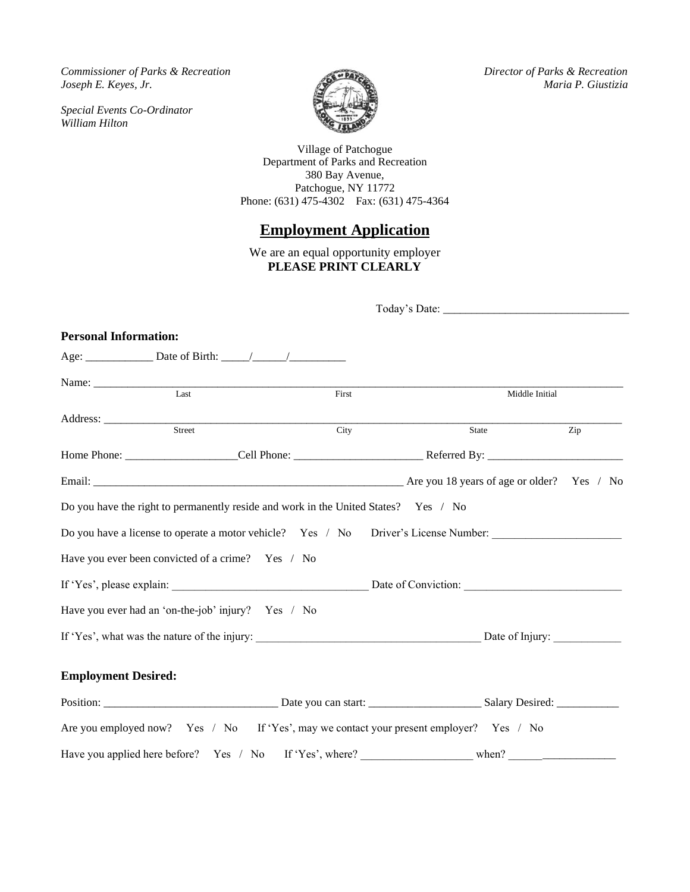*Commissioner of Parks & Recreation Director of Parks & Recreation Joseph E. Keyes, Jr. Maria P. Giustizia*

*Special Events Co-Ordinator William Hilton*



Village of Patchogue Department of Parks and Recreation 380 Bay Avenue, Patchogue, NY 11772 Phone: (631) 475-4302 Fax: (631) 475-4364

# **Employment Application**

We are an equal opportunity employer **PLEASE PRINT CLEARLY**

| <b>Personal Information:</b> |                                                                                     |       |  |                   |                  |  |
|------------------------------|-------------------------------------------------------------------------------------|-------|--|-------------------|------------------|--|
|                              |                                                                                     |       |  |                   |                  |  |
|                              | Last                                                                                | First |  |                   |                  |  |
|                              |                                                                                     |       |  | Middle Initial    |                  |  |
|                              | Street                                                                              | City  |  | State             | $\overline{Zip}$ |  |
|                              |                                                                                     |       |  |                   |                  |  |
|                              |                                                                                     |       |  |                   |                  |  |
|                              | Do you have the right to permanently reside and work in the United States? Yes / No |       |  |                   |                  |  |
|                              | Do you have a license to operate a motor vehicle? Yes / No Driver's License Number: |       |  |                   |                  |  |
|                              | Have you ever been convicted of a crime? Yes / No                                   |       |  |                   |                  |  |
|                              |                                                                                     |       |  |                   |                  |  |
|                              | Have you ever had an 'on-the-job' injury? Yes / No                                  |       |  |                   |                  |  |
|                              |                                                                                     |       |  |                   |                  |  |
| <b>Employment Desired:</b>   |                                                                                     |       |  |                   |                  |  |
|                              |                                                                                     |       |  | Salary Desired: _ |                  |  |

| Have you applied here before? Yes / No If 'Yes', where? |  | when <sup>o</sup> |
|---------------------------------------------------------|--|-------------------|

Are you employed now? Yes / No If 'Yes', may we contact your present employer? Yes / No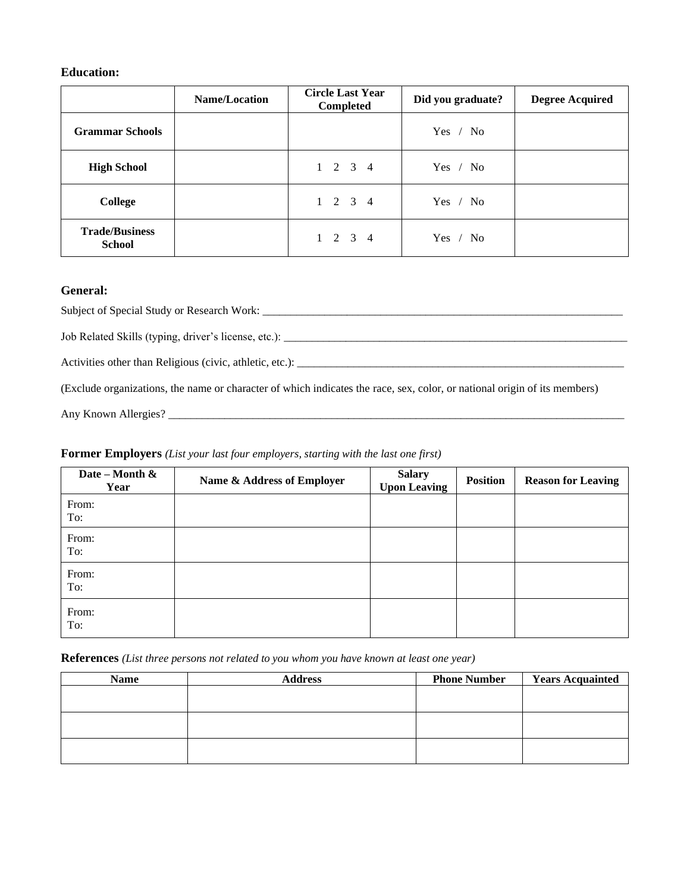## **Education:**

|                                        | <b>Name/Location</b> | <b>Circle Last Year</b><br>Completed | Did you graduate? | <b>Degree Acquired</b> |
|----------------------------------------|----------------------|--------------------------------------|-------------------|------------------------|
| <b>Grammar Schools</b>                 |                      |                                      | Yes / No          |                        |
| <b>High School</b>                     |                      | $1 \t2 \t3 \t4$                      | Yes / No          |                        |
| College                                |                      | $1 \t2 \t3 \t4$                      | Yes / No          |                        |
| <b>Trade/Business</b><br><b>School</b> |                      | $1 \t2 \t3 \t4$                      | Yes / No          |                        |

## **General:**

Subject of Special Study or Research Work: \_\_\_\_\_\_\_\_\_\_\_\_\_\_\_\_\_\_\_\_\_\_\_\_\_\_\_\_\_\_\_\_\_\_\_\_\_\_\_\_\_\_\_\_\_\_\_\_\_\_\_\_\_\_\_\_\_\_\_\_\_\_\_\_

Job Related Skills (typing, driver's license, etc.): \_\_\_\_\_\_\_\_\_\_\_\_\_\_\_\_\_\_\_\_\_\_\_\_\_\_\_\_\_\_\_\_\_\_\_\_\_\_\_\_\_\_\_\_\_\_\_\_\_\_\_\_\_\_\_\_\_\_\_\_\_

Activities other than Religious (civic, athletic, etc.): \_\_\_\_\_\_\_\_\_\_\_\_\_\_\_\_\_\_\_\_\_\_\_\_\_\_\_\_\_\_\_\_\_\_\_\_\_\_\_\_\_\_\_\_\_\_\_\_\_\_\_\_\_\_\_\_\_\_

(Exclude organizations, the name or character of which indicates the race, sex, color, or national origin of its members)

Any Known Allergies? \_\_\_\_\_\_\_\_\_\_\_\_\_\_\_\_\_\_\_\_\_\_\_\_\_\_\_\_\_\_\_\_\_\_\_\_\_\_\_\_\_\_\_\_\_\_\_\_\_\_\_\_\_\_\_\_\_\_\_\_\_\_\_\_\_\_\_\_\_\_\_\_\_\_\_\_\_\_\_\_\_

#### **Former Employers** *(List your last four employers, starting with the last one first)*

| Date – Month $\&$<br>Year | Name & Address of Employer | <b>Salary</b><br><b>Upon Leaving</b> | <b>Position</b> | <b>Reason for Leaving</b> |
|---------------------------|----------------------------|--------------------------------------|-----------------|---------------------------|
| From:<br>To:              |                            |                                      |                 |                           |
| From:<br>To:              |                            |                                      |                 |                           |
| From:<br>To:              |                            |                                      |                 |                           |
| From:<br>To:              |                            |                                      |                 |                           |

**References** *(List three persons not related to you whom you have known at least one year)*

| <b>Name</b> | <b>Address</b> | <b>Phone Number</b> | <b>Years Acquainted</b> |
|-------------|----------------|---------------------|-------------------------|
|             |                |                     |                         |
|             |                |                     |                         |
|             |                |                     |                         |
|             |                |                     |                         |
|             |                |                     |                         |
|             |                |                     |                         |